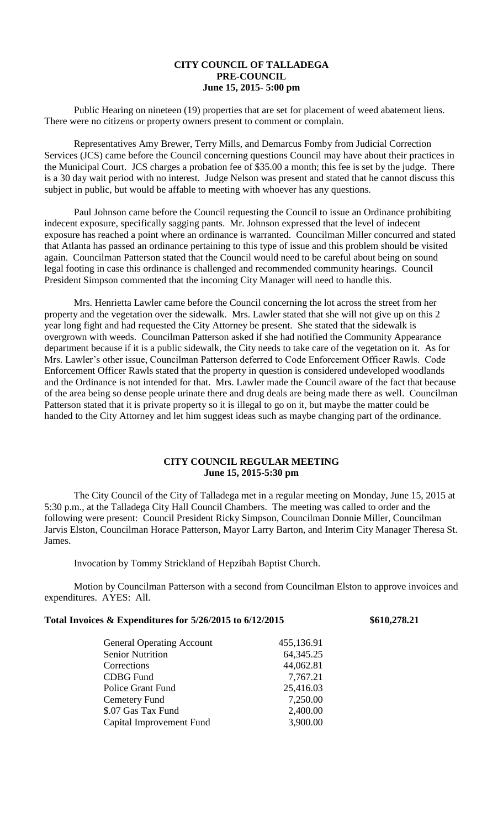## **CITY COUNCIL OF TALLADEGA PRE-COUNCIL June 15, 2015- 5:00 pm**

Public Hearing on nineteen (19) properties that are set for placement of weed abatement liens. There were no citizens or property owners present to comment or complain.

Representatives Amy Brewer, Terry Mills, and Demarcus Fomby from Judicial Correction Services (JCS) came before the Council concerning questions Council may have about their practices in the Municipal Court. JCS charges a probation fee of \$35.00 a month; this fee is set by the judge. There is a 30 day wait period with no interest. Judge Nelson was present and stated that he cannot discuss this subject in public, but would be affable to meeting with whoever has any questions.

Paul Johnson came before the Council requesting the Council to issue an Ordinance prohibiting indecent exposure, specifically sagging pants. Mr. Johnson expressed that the level of indecent exposure has reached a point where an ordinance is warranted. Councilman Miller concurred and stated that Atlanta has passed an ordinance pertaining to this type of issue and this problem should be visited again. Councilman Patterson stated that the Council would need to be careful about being on sound legal footing in case this ordinance is challenged and recommended community hearings. Council President Simpson commented that the incoming City Manager will need to handle this.

Mrs. Henrietta Lawler came before the Council concerning the lot across the street from her property and the vegetation over the sidewalk. Mrs. Lawler stated that she will not give up on this 2 year long fight and had requested the City Attorney be present. She stated that the sidewalk is overgrown with weeds. Councilman Patterson asked if she had notified the Community Appearance department because if it is a public sidewalk, the City needs to take care of the vegetation on it. As for Mrs. Lawler's other issue, Councilman Patterson deferred to Code Enforcement Officer Rawls. Code Enforcement Officer Rawls stated that the property in question is considered undeveloped woodlands and the Ordinance is not intended for that. Mrs. Lawler made the Council aware of the fact that because of the area being so dense people urinate there and drug deals are being made there as well. Councilman Patterson stated that it is private property so it is illegal to go on it, but maybe the matter could be handed to the City Attorney and let him suggest ideas such as maybe changing part of the ordinance.

## **CITY COUNCIL REGULAR MEETING June 15, 2015-5:30 pm**

The City Council of the City of Talladega met in a regular meeting on Monday, June 15, 2015 at 5:30 p.m., at the Talladega City Hall Council Chambers. The meeting was called to order and the following were present: Council President Ricky Simpson, Councilman Donnie Miller, Councilman Jarvis Elston, Councilman Horace Patterson, Mayor Larry Barton, and Interim City Manager Theresa St. James.

Invocation by Tommy Strickland of Hepzibah Baptist Church.

Motion by Councilman Patterson with a second from Councilman Elston to approve invoices and expenditures. AYES: All.

## **Total Invoices & Expenditures for 5/26/2015 to 6/12/2015 \$610,278.21**

| <b>General Operating Account</b> | 455,136.91  |
|----------------------------------|-------------|
| <b>Senior Nutrition</b>          | 64, 345. 25 |
| Corrections                      | 44,062.81   |
| <b>CDBG</b> Fund                 | 7,767.21    |
| <b>Police Grant Fund</b>         | 25,416.03   |
| Cemetery Fund                    | 7,250.00    |
| \$.07 Gas Tax Fund               | 2,400.00    |
| Capital Improvement Fund         | 3,900.00    |
|                                  |             |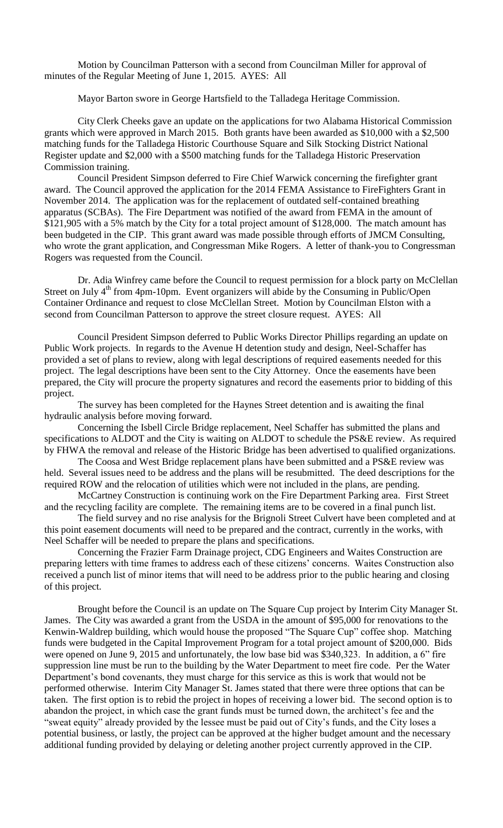Motion by Councilman Patterson with a second from Councilman Miller for approval of minutes of the Regular Meeting of June 1, 2015. AYES: All

Mayor Barton swore in George Hartsfield to the Talladega Heritage Commission.

City Clerk Cheeks gave an update on the applications for two Alabama Historical Commission grants which were approved in March 2015. Both grants have been awarded as \$10,000 with a \$2,500 matching funds for the Talladega Historic Courthouse Square and Silk Stocking District National Register update and \$2,000 with a \$500 matching funds for the Talladega Historic Preservation Commission training.

Council President Simpson deferred to Fire Chief Warwick concerning the firefighter grant award. The Council approved the application for the 2014 FEMA Assistance to FireFighters Grant in November 2014. The application was for the replacement of outdated self-contained breathing apparatus (SCBAs). The Fire Department was notified of the award from FEMA in the amount of \$121,905 with a 5% match by the City for a total project amount of \$128,000. The match amount has been budgeted in the CIP. This grant award was made possible through efforts of JMCM Consulting, who wrote the grant application, and Congressman Mike Rogers. A letter of thank-you to Congressman Rogers was requested from the Council.

Dr. Adia Winfrey came before the Council to request permission for a block party on McClellan Street on July  $4<sup>th</sup>$  from 4pm-10pm. Event organizers will abide by the Consuming in Public/Open Container Ordinance and request to close McClellan Street. Motion by Councilman Elston with a second from Councilman Patterson to approve the street closure request. AYES: All

Council President Simpson deferred to Public Works Director Phillips regarding an update on Public Work projects. In regards to the Avenue H detention study and design, Neel-Schaffer has provided a set of plans to review, along with legal descriptions of required easements needed for this project. The legal descriptions have been sent to the City Attorney. Once the easements have been prepared, the City will procure the property signatures and record the easements prior to bidding of this project.

The survey has been completed for the Haynes Street detention and is awaiting the final hydraulic analysis before moving forward.

Concerning the Isbell Circle Bridge replacement, Neel Schaffer has submitted the plans and specifications to ALDOT and the City is waiting on ALDOT to schedule the PS&E review. As required by FHWA the removal and release of the Historic Bridge has been advertised to qualified organizations.

The Coosa and West Bridge replacement plans have been submitted and a PS&E review was held. Several issues need to be address and the plans will be resubmitted. The deed descriptions for the required ROW and the relocation of utilities which were not included in the plans, are pending.

McCartney Construction is continuing work on the Fire Department Parking area. First Street and the recycling facility are complete. The remaining items are to be covered in a final punch list.

The field survey and no rise analysis for the Brignoli Street Culvert have been completed and at this point easement documents will need to be prepared and the contract, currently in the works, with Neel Schaffer will be needed to prepare the plans and specifications.

Concerning the Frazier Farm Drainage project, CDG Engineers and Waites Construction are preparing letters with time frames to address each of these citizens' concerns. Waites Construction also received a punch list of minor items that will need to be address prior to the public hearing and closing of this project.

Brought before the Council is an update on The Square Cup project by Interim City Manager St. James. The City was awarded a grant from the USDA in the amount of \$95,000 for renovations to the Kenwin-Waldrep building, which would house the proposed "The Square Cup" coffee shop. Matching funds were budgeted in the Capital Improvement Program for a total project amount of \$200,000. Bids were opened on June 9, 2015 and unfortunately, the low base bid was \$340,323. In addition, a 6" fire suppression line must be run to the building by the Water Department to meet fire code. Per the Water Department's bond covenants, they must charge for this service as this is work that would not be performed otherwise. Interim City Manager St. James stated that there were three options that can be taken. The first option is to rebid the project in hopes of receiving a lower bid. The second option is to abandon the project, in which case the grant funds must be turned down, the architect's fee and the "sweat equity" already provided by the lessee must be paid out of City's funds, and the City loses a potential business, or lastly, the project can be approved at the higher budget amount and the necessary additional funding provided by delaying or deleting another project currently approved in the CIP.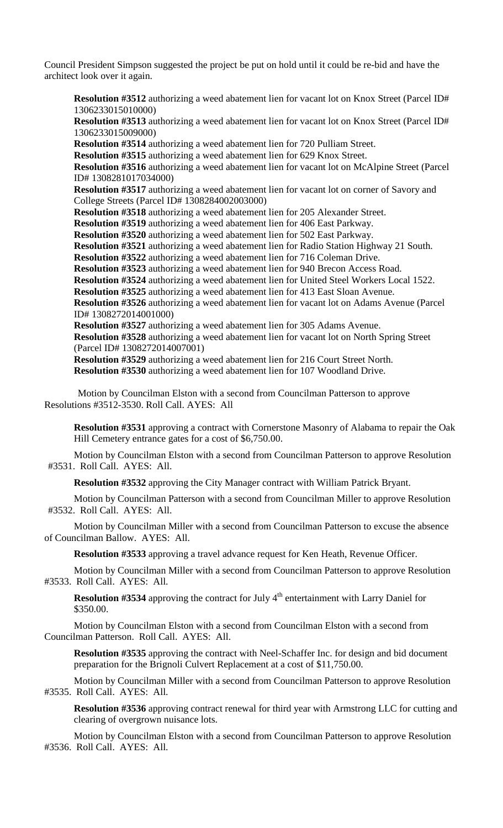Council President Simpson suggested the project be put on hold until it could be re-bid and have the architect look over it again.

**Resolution #3512** authorizing a weed abatement lien for vacant lot on Knox Street (Parcel ID# 1306233015010000) **Resolution #3513** authorizing a weed abatement lien for vacant lot on Knox Street (Parcel ID# 1306233015009000) **Resolution #3514** authorizing a weed abatement lien for 720 Pulliam Street. **Resolution #3515** authorizing a weed abatement lien for 629 Knox Street. **Resolution #3516** authorizing a weed abatement lien for vacant lot on McAlpine Street (Parcel ID# 1308281017034000) **Resolution #3517** authorizing a weed abatement lien for vacant lot on corner of Savory and College Streets (Parcel ID# 1308284002003000) **Resolution #3518** authorizing a weed abatement lien for 205 Alexander Street. **Resolution #3519** authorizing a weed abatement lien for 406 East Parkway. **Resolution #3520** authorizing a weed abatement lien for 502 East Parkway. **Resolution #3521** authorizing a weed abatement lien for Radio Station Highway 21 South. **Resolution #3522** authorizing a weed abatement lien for 716 Coleman Drive. **Resolution #3523** authorizing a weed abatement lien for 940 Brecon Access Road. **Resolution #3524** authorizing a weed abatement lien for United Steel Workers Local 1522. **Resolution #3525** authorizing a weed abatement lien for 413 East Sloan Avenue. **Resolution #3526** authorizing a weed abatement lien for vacant lot on Adams Avenue (Parcel ID# 1308272014001000) **Resolution #3527** authorizing a weed abatement lien for 305 Adams Avenue. **Resolution #3528** authorizing a weed abatement lien for vacant lot on North Spring Street (Parcel ID# 1308272014007001) **Resolution #3529** authorizing a weed abatement lien for 216 Court Street North. **Resolution #3530** authorizing a weed abatement lien for 107 Woodland Drive.

Motion by Councilman Elston with a second from Councilman Patterson to approve Resolutions #3512-3530. Roll Call. AYES: All

**Resolution #3531** approving a contract with Cornerstone Masonry of Alabama to repair the Oak Hill Cemetery entrance gates for a cost of \$6,750.00.

Motion by Councilman Elston with a second from Councilman Patterson to approve Resolution #3531. Roll Call. AYES: All.

**Resolution #3532** approving the City Manager contract with William Patrick Bryant.

Motion by Councilman Patterson with a second from Councilman Miller to approve Resolution #3532. Roll Call. AYES: All.

Motion by Councilman Miller with a second from Councilman Patterson to excuse the absence of Councilman Ballow. AYES: All.

**Resolution #3533** approving a travel advance request for Ken Heath, Revenue Officer.

Motion by Councilman Miller with a second from Councilman Patterson to approve Resolution #3533. Roll Call. AYES: All.

**Resolution #3534** approving the contract for July 4<sup>th</sup> entertainment with Larry Daniel for \$350.00.

Motion by Councilman Elston with a second from Councilman Elston with a second from Councilman Patterson. Roll Call. AYES: All.

**Resolution #3535** approving the contract with Neel-Schaffer Inc. for design and bid document preparation for the Brignoli Culvert Replacement at a cost of \$11,750.00.

Motion by Councilman Miller with a second from Councilman Patterson to approve Resolution #3535. Roll Call. AYES: All.

**Resolution #3536** approving contract renewal for third year with Armstrong LLC for cutting and clearing of overgrown nuisance lots.

Motion by Councilman Elston with a second from Councilman Patterson to approve Resolution #3536. Roll Call. AYES: All.